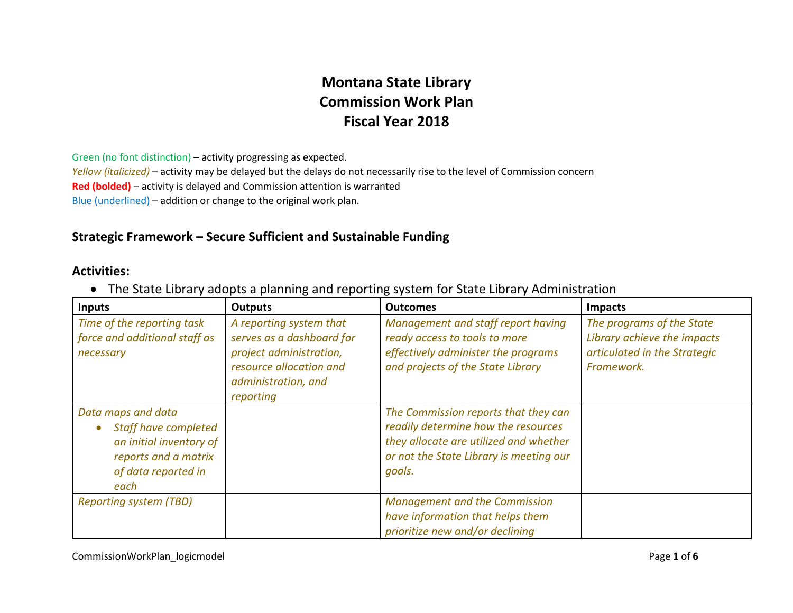## **Montana State Library Commission Work Plan Fiscal Year 2018**

Green (no font distinction) – activity progressing as expected. *Yellow (italicized)* – activity may be delayed but the delays do not necessarily rise to the level of Commission concern **Red (bolded)** – activity is delayed and Commission attention is warranted Blue (underlined) – addition or change to the original work plan.

## **Strategic Framework – Secure Sufficient and Sustainable Funding**

## **Activities:**

• The State Library adopts a planning and reporting system for State Library Administration

| <b>Inputs</b>                                                                                                                       | <b>Outputs</b>                                                                                                                                 | <b>Outcomes</b>                                                                                                                                                            | <b>Impacts</b>                                                                                         |
|-------------------------------------------------------------------------------------------------------------------------------------|------------------------------------------------------------------------------------------------------------------------------------------------|----------------------------------------------------------------------------------------------------------------------------------------------------------------------------|--------------------------------------------------------------------------------------------------------|
| Time of the reporting task<br>force and additional staff as<br>necessary                                                            | A reporting system that<br>serves as a dashboard for<br>project administration,<br>resource allocation and<br>administration, and<br>reporting | Management and staff report having<br>ready access to tools to more<br>effectively administer the programs<br>and projects of the State Library                            | The programs of the State<br>Library achieve the impacts<br>articulated in the Strategic<br>Framework. |
| Data maps and data<br><b>Staff have completed</b><br>an initial inventory of<br>reports and a matrix<br>of data reported in<br>each |                                                                                                                                                | The Commission reports that they can<br>readily determine how the resources<br>they allocate are utilized and whether<br>or not the State Library is meeting our<br>goals. |                                                                                                        |
| <b>Reporting system (TBD)</b>                                                                                                       |                                                                                                                                                | <b>Management and the Commission</b><br>have information that helps them<br>prioritize new and/or declining                                                                |                                                                                                        |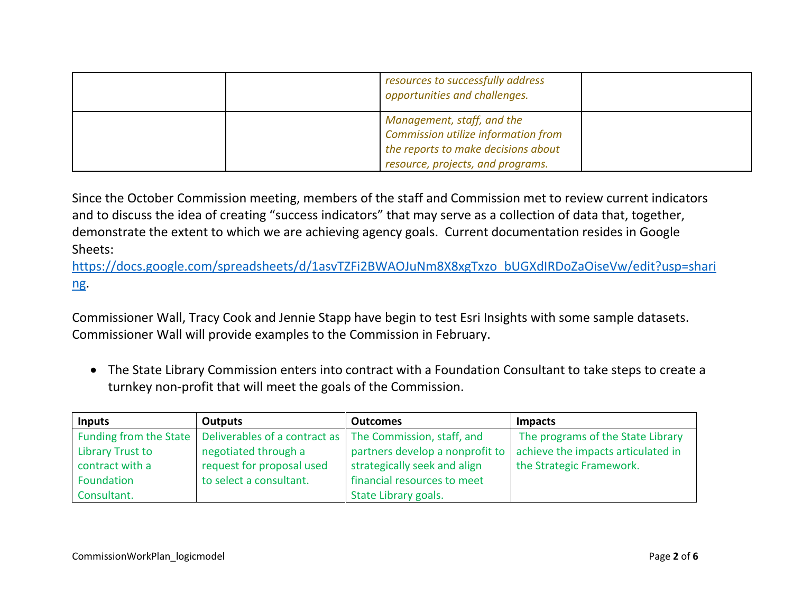|  | resources to successfully address<br>opportunities and challenges.                                                                            |  |
|--|-----------------------------------------------------------------------------------------------------------------------------------------------|--|
|  | Management, staff, and the<br>Commission utilize information from<br>the reports to make decisions about<br>resource, projects, and programs. |  |

Since the October Commission meeting, members of the staff and Commission met to review current indicators and to discuss the idea of creating "success indicators" that may serve as a collection of data that, together, demonstrate the extent to which we are achieving agency goals. Current documentation resides in Google Sheets:

[https://docs.google.com/spreadsheets/d/1asvTZFi2BWAOJuNm8X8xgTxzo\\_bUGXdIRDoZaOiseVw/edit?usp=shari](https://docs.google.com/spreadsheets/d/1asvTZFi2BWAOJuNm8X8xgTxzo_bUGXdIRDoZaOiseVw/edit?usp=sharing) [ng.](https://docs.google.com/spreadsheets/d/1asvTZFi2BWAOJuNm8X8xgTxzo_bUGXdIRDoZaOiseVw/edit?usp=sharing)

Commissioner Wall, Tracy Cook and Jennie Stapp have begin to test Esri Insights with some sample datasets. Commissioner Wall will provide examples to the Commission in February.

• The State Library Commission enters into contract with a Foundation Consultant to take steps to create a turnkey non-profit that will meet the goals of the Commission.

| <b>Inputs</b>           | Outputs                                                                             | <b>Outcomes</b>                 | <b>Impacts</b>                     |
|-------------------------|-------------------------------------------------------------------------------------|---------------------------------|------------------------------------|
|                         | Funding from the State   Deliverables of a contract as   The Commission, staff, and |                                 | The programs of the State Library  |
| <b>Library Trust to</b> | negotiated through a                                                                | partners develop a nonprofit to | achieve the impacts articulated in |
| contract with a         | request for proposal used                                                           | strategically seek and align    | the Strategic Framework.           |
| Foundation              | to select a consultant.                                                             | financial resources to meet     |                                    |
| Consultant.             |                                                                                     | State Library goals.            |                                    |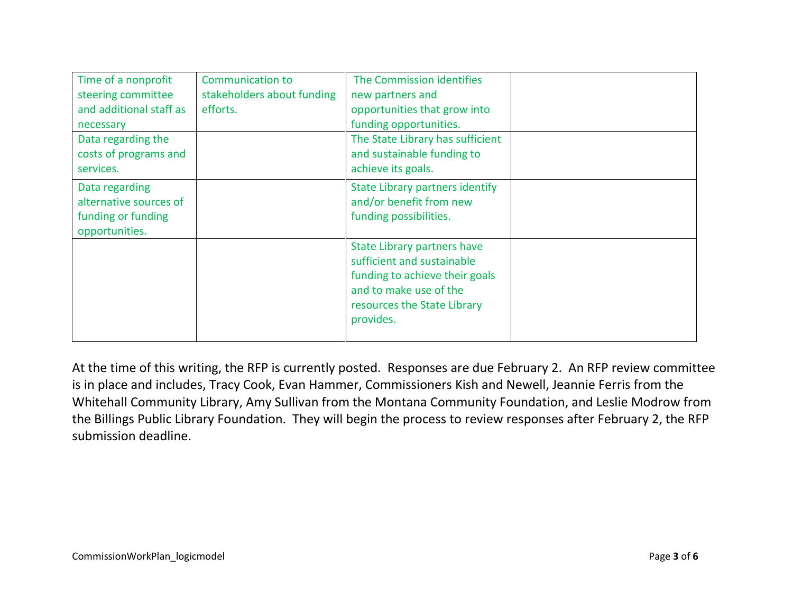| Time of a nonprofit<br>steering committee<br>and additional staff as<br>necessary<br>Data regarding the<br>costs of programs and<br>services. | <b>Communication to</b><br>stakeholders about funding<br>efforts. | The Commission identifies<br>new partners and<br>opportunities that grow into<br>funding opportunities.<br>The State Library has sufficient<br>and sustainable funding to<br>achieve its goals. |  |
|-----------------------------------------------------------------------------------------------------------------------------------------------|-------------------------------------------------------------------|-------------------------------------------------------------------------------------------------------------------------------------------------------------------------------------------------|--|
| Data regarding<br>alternative sources of<br>funding or funding<br>opportunities.                                                              |                                                                   | <b>State Library partners identify</b><br>and/or benefit from new<br>funding possibilities.                                                                                                     |  |
|                                                                                                                                               |                                                                   | State Library partners have<br>sufficient and sustainable<br>funding to achieve their goals<br>and to make use of the<br>resources the State Library<br>provides.                               |  |

At the time of this writing, the RFP is currently posted. Responses are due February 2. An RFP review committee is in place and includes, Tracy Cook, Evan Hammer, Commissioners Kish and Newell, Jeannie Ferris from the Whitehall Community Library, Amy Sullivan from the Montana Community Foundation, and Leslie Modrow from the Billings Public Library Foundation. They will begin the process to review responses after February 2, the RFP submission deadline.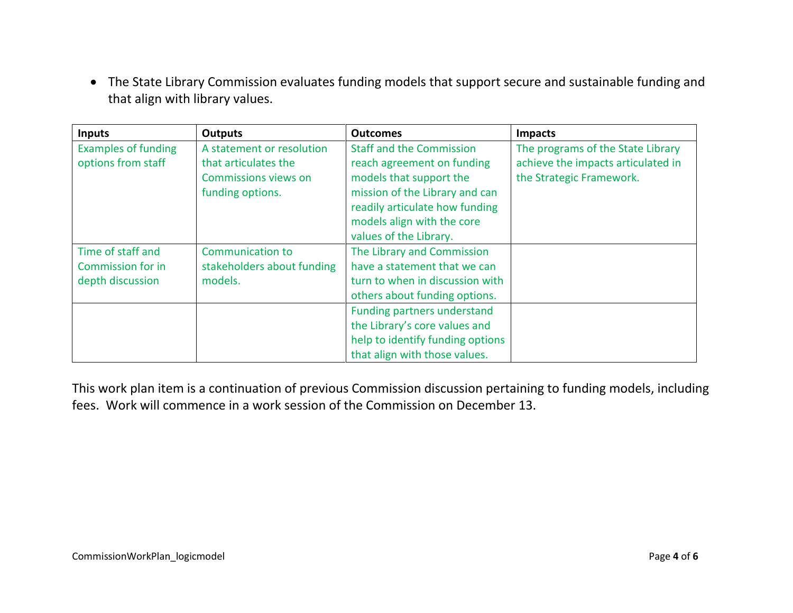• The State Library Commission evaluates funding models that support secure and sustainable funding and that align with library values.

| <b>Inputs</b>                                    | <b>Outputs</b>                                                                                | <b>Outcomes</b>                                                                                                                                                                                                      | <b>Impacts</b>                                                                                      |
|--------------------------------------------------|-----------------------------------------------------------------------------------------------|----------------------------------------------------------------------------------------------------------------------------------------------------------------------------------------------------------------------|-----------------------------------------------------------------------------------------------------|
| <b>Examples of funding</b><br>options from staff | A statement or resolution<br>that articulates the<br>Commissions views on<br>funding options. | <b>Staff and the Commission</b><br>reach agreement on funding<br>models that support the<br>mission of the Library and can<br>readily articulate how funding<br>models align with the core<br>values of the Library. | The programs of the State Library<br>achieve the impacts articulated in<br>the Strategic Framework. |
| Time of staff and                                | <b>Communication to</b>                                                                       | The Library and Commission                                                                                                                                                                                           |                                                                                                     |
| <b>Commission for in</b>                         | stakeholders about funding                                                                    | have a statement that we can                                                                                                                                                                                         |                                                                                                     |
| depth discussion                                 | models.                                                                                       | turn to when in discussion with                                                                                                                                                                                      |                                                                                                     |
|                                                  |                                                                                               | others about funding options.                                                                                                                                                                                        |                                                                                                     |
|                                                  |                                                                                               | Funding partners understand                                                                                                                                                                                          |                                                                                                     |
|                                                  |                                                                                               | the Library's core values and                                                                                                                                                                                        |                                                                                                     |
|                                                  |                                                                                               | help to identify funding options                                                                                                                                                                                     |                                                                                                     |
|                                                  |                                                                                               | that align with those values.                                                                                                                                                                                        |                                                                                                     |

This work plan item is a continuation of previous Commission discussion pertaining to funding models, including fees. Work will commence in a work session of the Commission on December 13.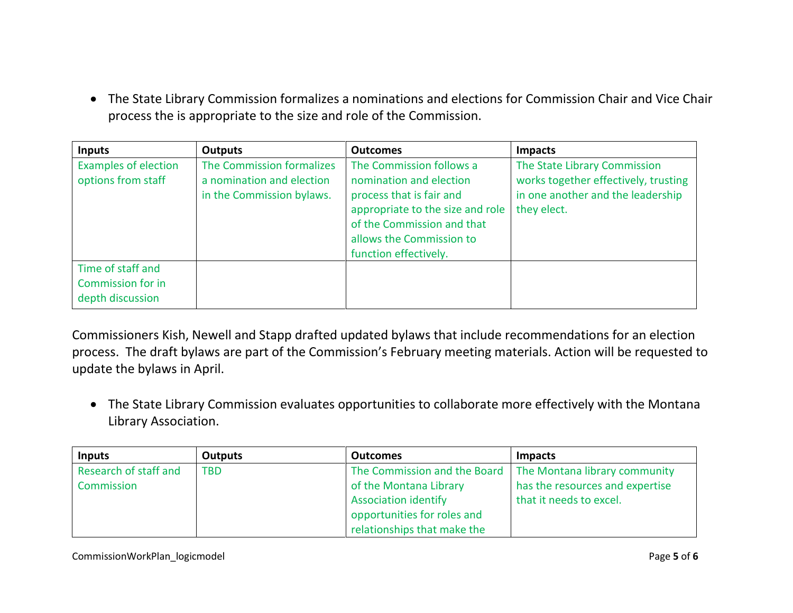• The State Library Commission formalizes a nominations and elections for Commission Chair and Vice Chair process the is appropriate to the size and role of the Commission.

| <b>Inputs</b>                                                     | <b>Outputs</b>                                                                      | <b>Outcomes</b>                                                                                                                                                                                        | <b>Impacts</b>                                                                                                           |
|-------------------------------------------------------------------|-------------------------------------------------------------------------------------|--------------------------------------------------------------------------------------------------------------------------------------------------------------------------------------------------------|--------------------------------------------------------------------------------------------------------------------------|
| <b>Examples of election</b><br>options from staff                 | The Commission formalizes<br>a nomination and election<br>in the Commission bylaws. | The Commission follows a<br>nomination and election<br>process that is fair and<br>appropriate to the size and role<br>of the Commission and that<br>allows the Commission to<br>function effectively. | The State Library Commission<br>works together effectively, trusting<br>in one another and the leadership<br>they elect. |
| Time of staff and<br><b>Commission for in</b><br>depth discussion |                                                                                     |                                                                                                                                                                                                        |                                                                                                                          |

Commissioners Kish, Newell and Stapp drafted updated bylaws that include recommendations for an election process. The draft bylaws are part of the Commission's February meeting materials. Action will be requested to update the bylaws in April.

• The State Library Commission evaluates opportunities to collaborate more effectively with the Montana Library Association.

| <b>Inputs</b>         | Outputs    | <b>Outcomes</b>             | <b>Impacts</b>                                             |
|-----------------------|------------|-----------------------------|------------------------------------------------------------|
| Research of staff and | <b>TBD</b> |                             | The Commission and the Board The Montana library community |
| Commission            |            | of the Montana Library      | has the resources and expertise                            |
|                       |            | <b>Association identify</b> | that it needs to excel.                                    |
|                       |            | opportunities for roles and |                                                            |
|                       |            | relationships that make the |                                                            |